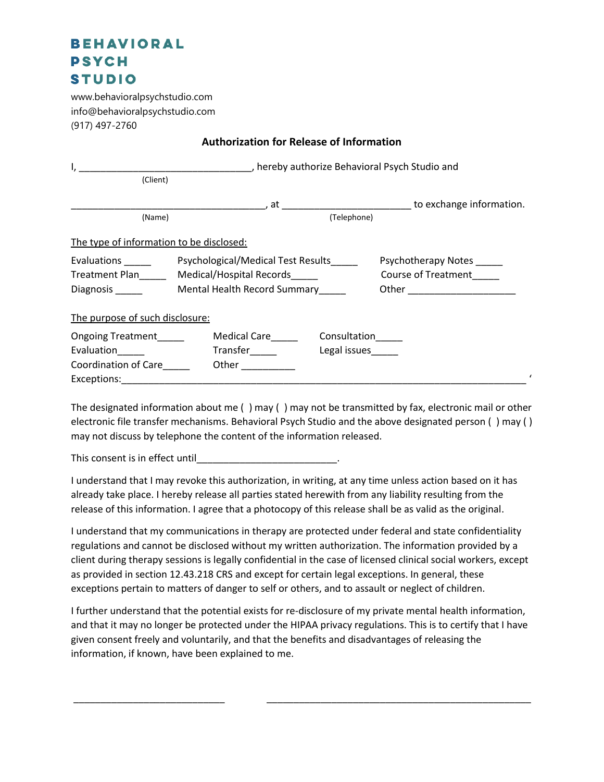## **BEHAVIORAL PSYCH STUDIO**

www.behavioralpsychstudio.com info@behavioralpsychstudio.com (917) 497-2760

## **Authorization for Release of Information**

| I,                                       | hereby authorize Behavioral Psych Studio and |              |                              |
|------------------------------------------|----------------------------------------------|--------------|------------------------------|
| (Client)                                 |                                              |              |                              |
|                                          |                                              |              |                              |
| (Name)                                   |                                              | (Telephone)  |                              |
| The type of information to be disclosed: |                                              |              |                              |
| Evaluations ______                       | Psychological/Medical Test Results           |              | Psychotherapy Notes          |
| <b>Treatment Plan</b>                    | Medical/Hospital Records                     |              | Course of Treatment          |
| Diagnosis <u>Diagnosis</u>               | Mental Health Record Summary                 |              | Other ______________________ |
| The purpose of such disclosure:          |                                              |              |                              |
| Ongoing Treatment                        | Medical Care                                 | Consultation |                              |
| Evaluation_____                          | Transfer                                     | Legal issues |                              |
| <b>Coordination of Care</b>              | Other $\qquad \qquad$                        |              |                              |
| Exceptions:                              |                                              |              |                              |

The designated information about me ( ) may ( ) may not be transmitted by fax, electronic mail or other electronic file transfer mechanisms. Behavioral Psych Studio and the above designated person ( ) may ( ) may not discuss by telephone the content of the information released.

This consent is in effect until\_\_\_\_\_\_\_\_\_\_\_\_\_\_\_\_\_\_\_\_\_\_\_\_\_\_\_\_\_\_.

I understand that I may revoke this authorization, in writing, at any time unless action based on it has already take place. I hereby release all parties stated herewith from any liability resulting from the release of this information. I agree that a photocopy of this release shall be as valid as the original.

I understand that my communications in therapy are protected under federal and state confidentiality regulations and cannot be disclosed without my written authorization. The information provided by a client during therapy sessions is legally confidential in the case of licensed clinical social workers, except as provided in section 12.43.218 CRS and except for certain legal exceptions. In general, these exceptions pertain to matters of danger to self or others, and to assault or neglect of children.

I further understand that the potential exists for re-disclosure of my private mental health information, and that it may no longer be protected under the HIPAA privacy regulations. This is to certify that I have given consent freely and voluntarily, and that the benefits and disadvantages of releasing the information, if known, have been explained to me.

\_\_\_\_\_\_\_\_\_\_\_\_\_\_\_\_\_\_\_\_\_\_\_\_\_\_\_\_ \_\_\_\_\_\_\_\_\_\_\_\_\_\_\_\_\_\_\_\_\_\_\_\_\_\_\_\_\_\_\_\_\_\_\_\_\_\_\_\_\_\_\_\_\_\_\_\_\_